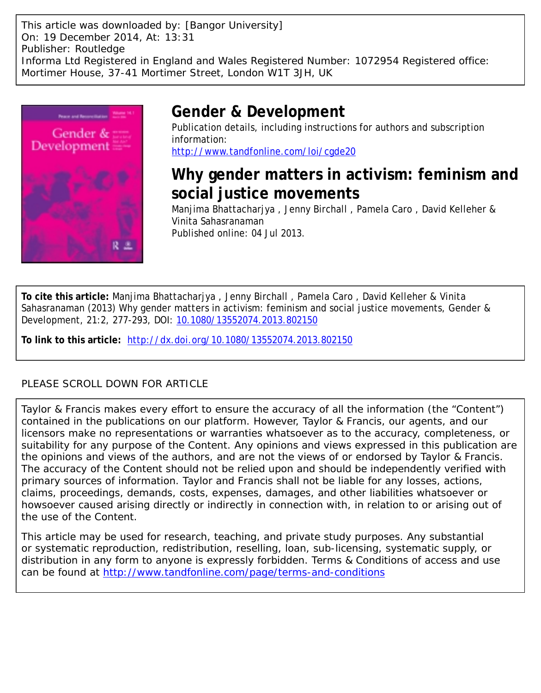This article was downloaded by: [Bangor University] On: 19 December 2014, At: 13:31 Publisher: Routledge Informa Ltd Registered in England and Wales Registered Number: 1072954 Registered office: Mortimer House, 37-41 Mortimer Street, London W1T 3JH, UK



## **Gender & Development**

Publication details, including instructions for authors and subscription information: <http://www.tandfonline.com/loi/cgde20>

# **Why gender matters in activism: feminism and social justice movements**

Manjima Bhattacharjya , Jenny Birchall , Pamela Caro , David Kelleher & Vinita Sahasranaman Published online: 04 Jul 2013.

**To cite this article:** Manjima Bhattacharjya , Jenny Birchall , Pamela Caro , David Kelleher & Vinita Sahasranaman (2013) Why gender matters in activism: feminism and social justice movements, Gender & Development, 21:2, 277-293, DOI: [10.1080/13552074.2013.802150](http://www.tandfonline.com/action/showCitFormats?doi=10.1080/13552074.2013.802150)

**To link to this article:** <http://dx.doi.org/10.1080/13552074.2013.802150>

## PLEASE SCROLL DOWN FOR ARTICLE

Taylor & Francis makes every effort to ensure the accuracy of all the information (the "Content") contained in the publications on our platform. However, Taylor & Francis, our agents, and our licensors make no representations or warranties whatsoever as to the accuracy, completeness, or suitability for any purpose of the Content. Any opinions and views expressed in this publication are the opinions and views of the authors, and are not the views of or endorsed by Taylor & Francis. The accuracy of the Content should not be relied upon and should be independently verified with primary sources of information. Taylor and Francis shall not be liable for any losses, actions, claims, proceedings, demands, costs, expenses, damages, and other liabilities whatsoever or howsoever caused arising directly or indirectly in connection with, in relation to or arising out of the use of the Content.

This article may be used for research, teaching, and private study purposes. Any substantial or systematic reproduction, redistribution, reselling, loan, sub-licensing, systematic supply, or distribution in any form to anyone is expressly forbidden. Terms & Conditions of access and use can be found at <http://www.tandfonline.com/page/terms-and-conditions>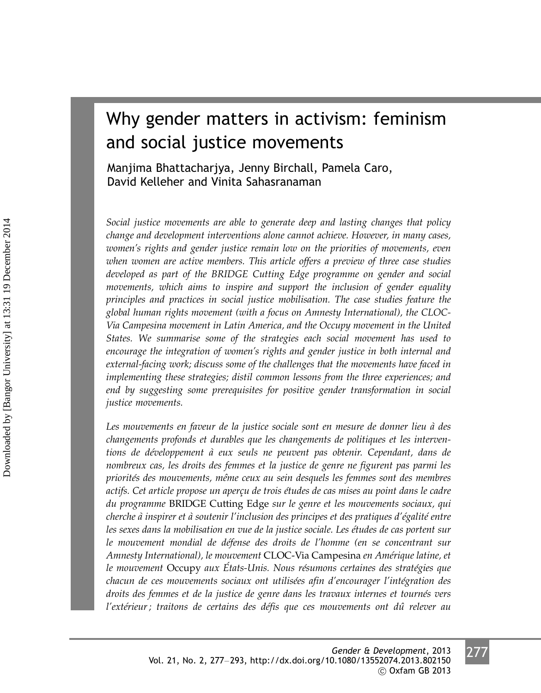# Why gender matters in activism: feminism and social justice movements

Manjima Bhattacharjya, Jenny Birchall, Pamela Caro, David Kelleher and Vinita Sahasranaman

Social justice movements are able to generate deep and lasting changes that policy change and development interventions alone cannot achieve. However, in many cases, women's rights and gender justice remain low on the priorities of movements, even when women are active members. This article offers a preview of three case studies developed as part of the BRIDGE Cutting Edge programme on gender and social movements, which aims to inspire and support the inclusion of gender equality principles and practices in social justice mobilisation. The case studies feature the global human rights movement (with a focus on Amnesty International), the CLOC-Via Campesina movement in Latin America, and the Occupy movement in the United States. We summarise some of the strategies each social movement has used to encourage the integration of women's rights and gender justice in both internal and external-facing work; discuss some of the challenges that the movements have faced in implementing these strategies; distil common lessons from the three experiences; and end by suggesting some prerequisites for positive gender transformation in social justice movements.

Les mouvements en faveur de la justice sociale sont en mesure de donner lieu a` des changements profonds et durables que les changements de politiques et les interventions de développement à eux seuls ne peuvent pas obtenir. Cependant, dans de nombreux cas, les droits des femmes et la justice de genre ne figurent pas parmi les priorités des mouvements, même ceux au sein desquels les femmes sont des membres actifs. Cet article propose un apercu de trois études de cas mises au point dans le cadre du programme BRIDGE Cutting Edge sur le genre et les mouvements sociaux, qui cherche à inspirer et à soutenir l'inclusion des principes et des pratiques d'égalité entre les sexes dans la mobilisation en vue de la justice sociale. Les études de cas portent sur le mouvement mondial de défense des droits de l'homme (en se concentrant sur Amnesty International), le mouvement CLOC-Via Campesina en Amérique latine, et le mouvement Occupy aux États-Unis. Nous résumons certaines des stratégies que chacun de ces mouvements sociaux ont utilisées afin d'encourager l'intégration des droits des femmes et de la justice de genre dans les travaux internes et tournés vers l'extérieur ; traitons de certains des défis que ces mouvements ont dû relever au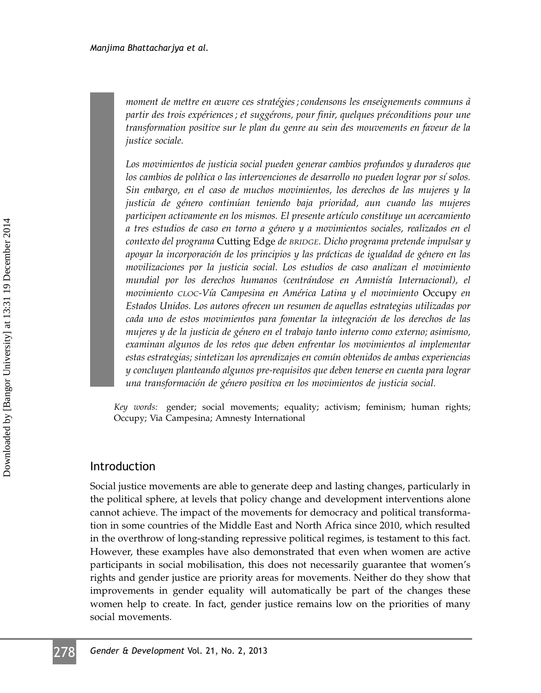moment de mettre en œuvre ces stratégies ; condensons les enseignements communs à partir des trois expériences ; et suggérons, pour finir, quelques préconditions pour une transformation positive sur le plan du genre au sein des mouvements en faveur de la justice sociale.

Los movimientos de justicia social pueden generar cambios profundos y duraderos que los cambios de política o las intervenciones de desarrollo no pueden lograr por sí solos. Sin embargo, en el caso de muchos movimientos, los derechos de las mujeres y la justicia de género continúan teniendo baja prioridad, aun cuando las mujeres participen activamente en los mismos. El presente artículo constituye un acercamiento a tres estudios de caso en torno a género y a movimientos sociales, realizados en el contexto del programa Cutting Edge de BRIDGE. Dicho programa pretende impulsar y apoyar la incorporación de los principios y las prácticas de igualdad de género en las movilizaciones por la justicia social. Los estudios de caso analizan el movimiento mundial por los derechos humanos (centrándose en Amnistía Internacional), el movimiento CLOC-Vía Campesina en América Latina y el movimiento Occupy en Estados Unidos. Los autores ofrecen un resumen de aquellas estrategias utilizadas por cada uno de estos movimientos para fomentar la integración de los derechos de las mujeres y de la justicia de género en el trabajo tanto interno como externo; asimismo, examinan algunos de los retos que deben enfrentar los movimientos al implementar estas estrategias; sintetizan los aprendizajes en comu´n obtenidos de ambas experiencias y concluyen planteando algunos pre-requisitos que deben tenerse en cuenta para lograr una transformación de género positiva en los movimientos de justicia social.

Key words: gender; social movements; equality; activism; feminism; human rights; Occupy; Via Campesina; Amnesty International

#### Introduction

Social justice movements are able to generate deep and lasting changes, particularly in the political sphere, at levels that policy change and development interventions alone cannot achieve. The impact of the movements for democracy and political transformation in some countries of the Middle East and North Africa since 2010, which resulted in the overthrow of long-standing repressive political regimes, is testament to this fact. However, these examples have also demonstrated that even when women are active participants in social mobilisation, this does not necessarily guarantee that women's rights and gender justice are priority areas for movements. Neither do they show that improvements in gender equality will automatically be part of the changes these women help to create. In fact, gender justice remains low on the priorities of many social movements.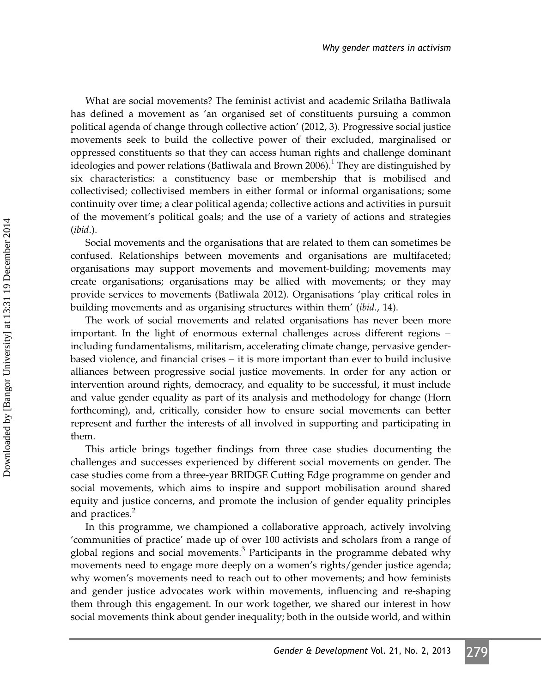What are social movements? The feminist activist and academic Srilatha Batliwala has defined a movement as 'an organised set of constituents pursuing a common political agenda of change through collective action' (2012, 3). Progressive social justice movements seek to build the collective power of their excluded, marginalised or oppressed constituents so that they can access human rights and challenge dominant ideologies and power relations (Batliwala and Brown 2006).<sup>1</sup> They are distinguished by six characteristics: a constituency base or membership that is mobilised and collectivised; collectivised members in either formal or informal organisations; some continuity over time; a clear political agenda; collective actions and activities in pursuit of the movement's political goals; and the use of a variety of actions and strategies (ibid.).

Social movements and the organisations that are related to them can sometimes be confused. Relationships between movements and organisations are multifaceted; organisations may support movements and movement-building; movements may create organisations; organisations may be allied with movements; or they may provide services to movements (Batliwala 2012). Organisations 'play critical roles in building movements and as organising structures within them' (ibid., 14).

The work of social movements and related organisations has never been more important. In the light of enormous external challenges across different regions  $$ including fundamentalisms, militarism, accelerating climate change, pervasive genderbased violence, and financial crises  $-$  it is more important than ever to build inclusive alliances between progressive social justice movements. In order for any action or intervention around rights, democracy, and equality to be successful, it must include and value gender equality as part of its analysis and methodology for change (Horn forthcoming), and, critically, consider how to ensure social movements can better represent and further the interests of all involved in supporting and participating in them.

This article brings together findings from three case studies documenting the challenges and successes experienced by different social movements on gender. The case studies come from a three-year BRIDGE Cutting Edge programme on gender and social movements, which aims to inspire and support mobilisation around shared equity and justice concerns, and promote the inclusion of gender equality principles and practices.<sup>2</sup>

In this programme, we championed a collaborative approach, actively involving 'communities of practice' made up of over 100 activists and scholars from a range of global regions and social movements.<sup>3</sup> Participants in the programme debated why movements need to engage more deeply on a women's rights/gender justice agenda; why women's movements need to reach out to other movements; and how feminists and gender justice advocates work within movements, influencing and re-shaping them through this engagement. In our work together, we shared our interest in how social movements think about gender inequality; both in the outside world, and within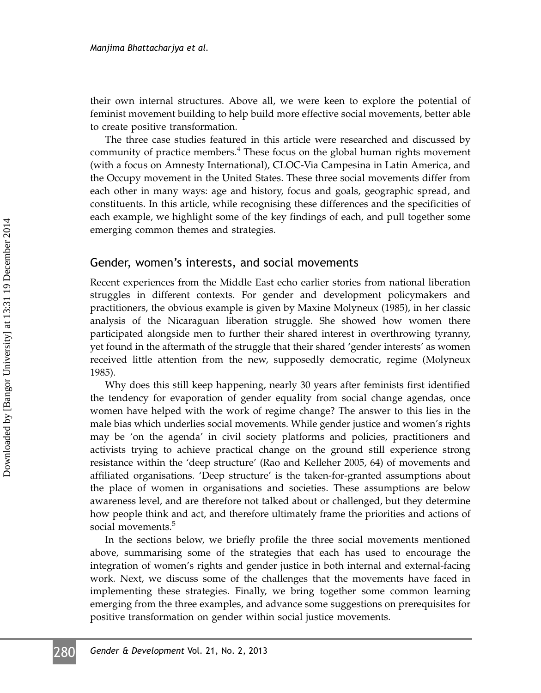their own internal structures. Above all, we were keen to explore the potential of feminist movement building to help build more effective social movements, better able to create positive transformation.

The three case studies featured in this article were researched and discussed by community of practice members.<sup>4</sup> These focus on the global human rights movement (with a focus on Amnesty International), CLOC-Via Campesina in Latin America, and the Occupy movement in the United States. These three social movements differ from each other in many ways: age and history, focus and goals, geographic spread, and constituents. In this article, while recognising these differences and the specificities of each example, we highlight some of the key findings of each, and pull together some emerging common themes and strategies.

#### Gender, women's interests, and social movements

Recent experiences from the Middle East echo earlier stories from national liberation struggles in different contexts. For gender and development policymakers and practitioners, the obvious example is given by Maxine Molyneux (1985), in her classic analysis of the Nicaraguan liberation struggle. She showed how women there participated alongside men to further their shared interest in overthrowing tyranny, yet found in the aftermath of the struggle that their shared 'gender interests' as women received little attention from the new, supposedly democratic, regime (Molyneux 1985).

Why does this still keep happening, nearly 30 years after feminists first identified the tendency for evaporation of gender equality from social change agendas, once women have helped with the work of regime change? The answer to this lies in the male bias which underlies social movements. While gender justice and women's rights may be 'on the agenda' in civil society platforms and policies, practitioners and activists trying to achieve practical change on the ground still experience strong resistance within the 'deep structure' (Rao and Kelleher 2005, 64) of movements and affiliated organisations. 'Deep structure' is the taken-for-granted assumptions about the place of women in organisations and societies. These assumptions are below awareness level, and are therefore not talked about or challenged, but they determine how people think and act, and therefore ultimately frame the priorities and actions of social movements.<sup>5</sup>

In the sections below, we briefly profile the three social movements mentioned above, summarising some of the strategies that each has used to encourage the integration of women's rights and gender justice in both internal and external-facing work. Next, we discuss some of the challenges that the movements have faced in implementing these strategies. Finally, we bring together some common learning emerging from the three examples, and advance some suggestions on prerequisites for positive transformation on gender within social justice movements.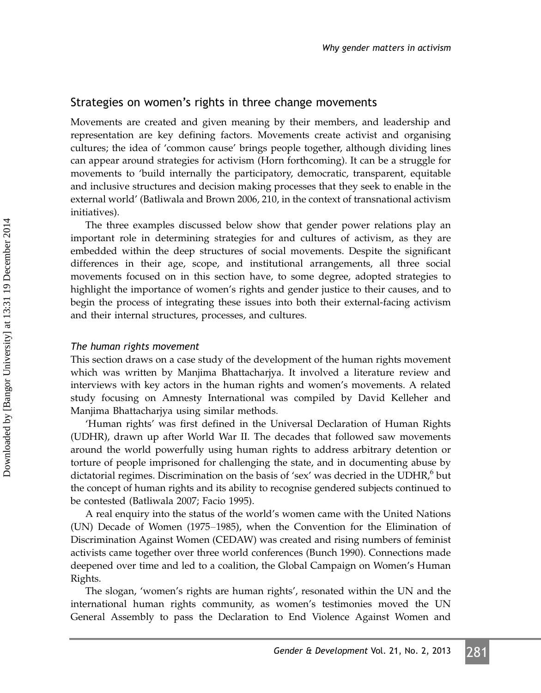### Strategies on women's rights in three change movements

Movements are created and given meaning by their members, and leadership and representation are key defining factors. Movements create activist and organising cultures; the idea of 'common cause' brings people together, although dividing lines can appear around strategies for activism (Horn forthcoming). It can be a struggle for movements to 'build internally the participatory, democratic, transparent, equitable and inclusive structures and decision making processes that they seek to enable in the external world' (Batliwala and Brown 2006, 210, in the context of transnational activism initiatives).

The three examples discussed below show that gender power relations play an important role in determining strategies for and cultures of activism, as they are embedded within the deep structures of social movements. Despite the significant differences in their age, scope, and institutional arrangements, all three social movements focused on in this section have, to some degree, adopted strategies to highlight the importance of women's rights and gender justice to their causes, and to begin the process of integrating these issues into both their external-facing activism and their internal structures, processes, and cultures.

#### The human rights movement

This section draws on a case study of the development of the human rights movement which was written by Manjima Bhattacharjya. It involved a literature review and interviews with key actors in the human rights and women's movements. A related study focusing on Amnesty International was compiled by David Kelleher and Manjima Bhattacharjya using similar methods.

'Human rights' was first defined in the Universal Declaration of Human Rights (UDHR), drawn up after World War II. The decades that followed saw movements around the world powerfully using human rights to address arbitrary detention or torture of people imprisoned for challenging the state, and in documenting abuse by dictatorial regimes. Discrimination on the basis of 'sex' was decried in the UDHR, $^6$  but the concept of human rights and its ability to recognise gendered subjects continued to be contested (Batliwala 2007; Facio 1995).

A real enquiry into the status of the world's women came with the United Nations (UN) Decade of Women  $(1975-1985)$ , when the Convention for the Elimination of Discrimination Against Women (CEDAW) was created and rising numbers of feminist activists came together over three world conferences (Bunch 1990). Connections made deepened over time and led to a coalition, the Global Campaign on Women's Human Rights.

The slogan, 'women's rights are human rights', resonated within the UN and the international human rights community, as women's testimonies moved the UN General Assembly to pass the Declaration to End Violence Against Women and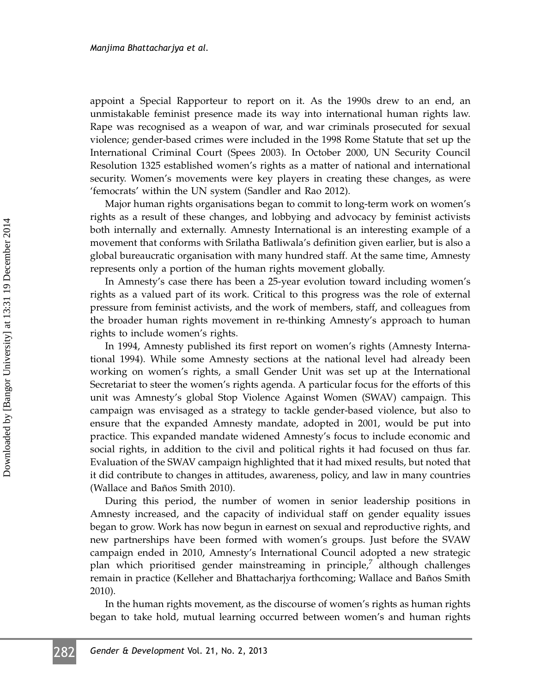appoint a Special Rapporteur to report on it. As the 1990s drew to an end, an unmistakable feminist presence made its way into international human rights law. Rape was recognised as a weapon of war, and war criminals prosecuted for sexual violence; gender-based crimes were included in the 1998 Rome Statute that set up the International Criminal Court (Spees 2003). In October 2000, UN Security Council Resolution 1325 established women's rights as a matter of national and international security. Women's movements were key players in creating these changes, as were 'femocrats' within the UN system (Sandler and Rao 2012).

Major human rights organisations began to commit to long-term work on women's rights as a result of these changes, and lobbying and advocacy by feminist activists both internally and externally. Amnesty International is an interesting example of a movement that conforms with Srilatha Batliwala's definition given earlier, but is also a global bureaucratic organisation with many hundred staff. At the same time, Amnesty represents only a portion of the human rights movement globally.

In Amnesty's case there has been a 25-year evolution toward including women's rights as a valued part of its work. Critical to this progress was the role of external pressure from feminist activists, and the work of members, staff, and colleagues from the broader human rights movement in re-thinking Amnesty's approach to human rights to include women's rights.

In 1994, Amnesty published its first report on women's rights (Amnesty International 1994). While some Amnesty sections at the national level had already been working on women's rights, a small Gender Unit was set up at the International Secretariat to steer the women's rights agenda. A particular focus for the efforts of this unit was Amnesty's global Stop Violence Against Women (SWAV) campaign. This campaign was envisaged as a strategy to tackle gender-based violence, but also to ensure that the expanded Amnesty mandate, adopted in 2001, would be put into practice. This expanded mandate widened Amnesty's focus to include economic and social rights, in addition to the civil and political rights it had focused on thus far. Evaluation of the SWAV campaign highlighted that it had mixed results, but noted that it did contribute to changes in attitudes, awareness, policy, and law in many countries (Wallace and Baños Smith 2010).

During this period, the number of women in senior leadership positions in Amnesty increased, and the capacity of individual staff on gender equality issues began to grow. Work has now begun in earnest on sexual and reproductive rights, and new partnerships have been formed with women's groups. Just before the SVAW campaign ended in 2010, Amnesty's International Council adopted a new strategic plan which prioritised gender mainstreaming in principle,<sup>7</sup> although challenges remain in practice (Kelleher and Bhattacharjya forthcoming; Wallace and Baños Smith 2010).

In the human rights movement, as the discourse of women's rights as human rights began to take hold, mutual learning occurred between women's and human rights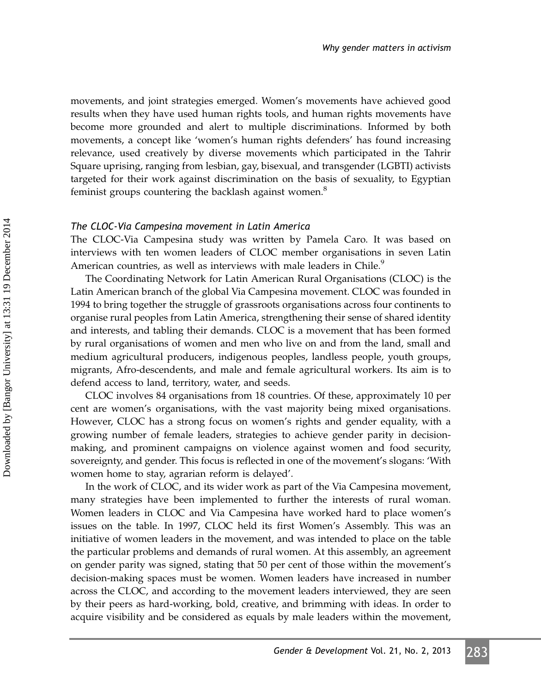movements, and joint strategies emerged. Women's movements have achieved good results when they have used human rights tools, and human rights movements have become more grounded and alert to multiple discriminations. Informed by both movements, a concept like 'women's human rights defenders' has found increasing relevance, used creatively by diverse movements which participated in the Tahrir Square uprising, ranging from lesbian, gay, bisexual, and transgender (LGBTI) activists targeted for their work against discrimination on the basis of sexuality, to Egyptian feminist groups countering the backlash against women.<sup>8</sup>

#### The CLOC-Via Campesina movement in Latin America

The CLOC-Via Campesina study was written by Pamela Caro. It was based on interviews with ten women leaders of CLOC member organisations in seven Latin American countries, as well as interviews with male leaders in Chile.<sup>9</sup>

The Coordinating Network for Latin American Rural Organisations (CLOC) is the Latin American branch of the global Via Campesina movement. CLOC was founded in 1994 to bring together the struggle of grassroots organisations across four continents to organise rural peoples from Latin America, strengthening their sense of shared identity and interests, and tabling their demands. CLOC is a movement that has been formed by rural organisations of women and men who live on and from the land, small and medium agricultural producers, indigenous peoples, landless people, youth groups, migrants, Afro-descendents, and male and female agricultural workers. Its aim is to defend access to land, territory, water, and seeds.

CLOC involves 84 organisations from 18 countries. Of these, approximately 10 per cent are women's organisations, with the vast majority being mixed organisations. However, CLOC has a strong focus on women's rights and gender equality, with a growing number of female leaders, strategies to achieve gender parity in decisionmaking, and prominent campaigns on violence against women and food security, sovereignty, and gender. This focus is reflected in one of the movement's slogans: 'With women home to stay, agrarian reform is delayed'.

In the work of CLOC, and its wider work as part of the Via Campesina movement, many strategies have been implemented to further the interests of rural woman. Women leaders in CLOC and Via Campesina have worked hard to place women's issues on the table. In 1997, CLOC held its first Women's Assembly. This was an initiative of women leaders in the movement, and was intended to place on the table the particular problems and demands of rural women. At this assembly, an agreement on gender parity was signed, stating that 50 per cent of those within the movement's decision-making spaces must be women. Women leaders have increased in number across the CLOC, and according to the movement leaders interviewed, they are seen by their peers as hard-working, bold, creative, and brimming with ideas. In order to acquire visibility and be considered as equals by male leaders within the movement,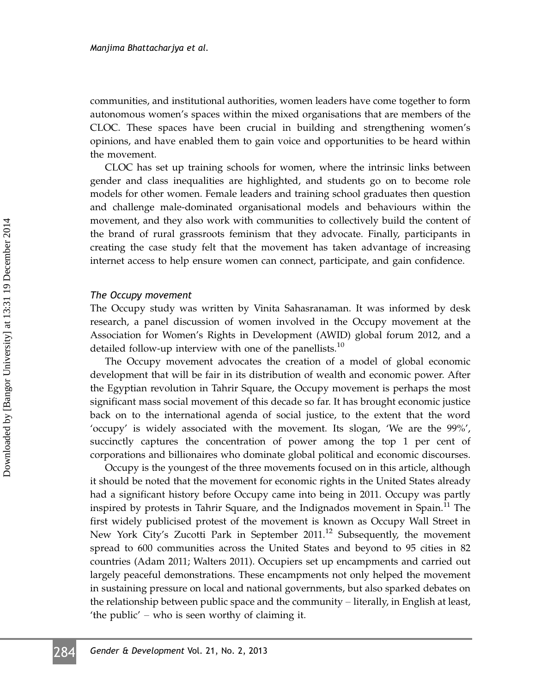communities, and institutional authorities, women leaders have come together to form autonomous women's spaces within the mixed organisations that are members of the CLOC. These spaces have been crucial in building and strengthening women's opinions, and have enabled them to gain voice and opportunities to be heard within the movement.

CLOC has set up training schools for women, where the intrinsic links between gender and class inequalities are highlighted, and students go on to become role models for other women. Female leaders and training school graduates then question and challenge male-dominated organisational models and behaviours within the movement, and they also work with communities to collectively build the content of the brand of rural grassroots feminism that they advocate. Finally, participants in creating the case study felt that the movement has taken advantage of increasing internet access to help ensure women can connect, participate, and gain confidence.

#### The Occupy movement

The Occupy study was written by Vinita Sahasranaman. It was informed by desk research, a panel discussion of women involved in the Occupy movement at the Association for Women's Rights in Development (AWID) global forum 2012, and a detailed follow-up interview with one of the panellists.<sup>10</sup>

The Occupy movement advocates the creation of a model of global economic development that will be fair in its distribution of wealth and economic power. After the Egyptian revolution in Tahrir Square, the Occupy movement is perhaps the most significant mass social movement of this decade so far. It has brought economic justice back on to the international agenda of social justice, to the extent that the word 'occupy' is widely associated with the movement. Its slogan, 'We are the 99%', succinctly captures the concentration of power among the top 1 per cent of corporations and billionaires who dominate global political and economic discourses.

Occupy is the youngest of the three movements focused on in this article, although it should be noted that the movement for economic rights in the United States already had a significant history before Occupy came into being in 2011. Occupy was partly inspired by protests in Tahrir Square, and the Indignados movement in Spain.<sup>11</sup> The first widely publicised protest of the movement is known as Occupy Wall Street in New York City's Zucotti Park in September 2011.<sup>12</sup> Subsequently, the movement spread to 600 communities across the United States and beyond to 95 cities in 82 countries (Adam 2011; Walters 2011). Occupiers set up encampments and carried out largely peaceful demonstrations. These encampments not only helped the movement in sustaining pressure on local and national governments, but also sparked debates on the relationship between public space and the community  $-$  literally, in English at least, 'the public'  $-$  who is seen worthy of claiming it.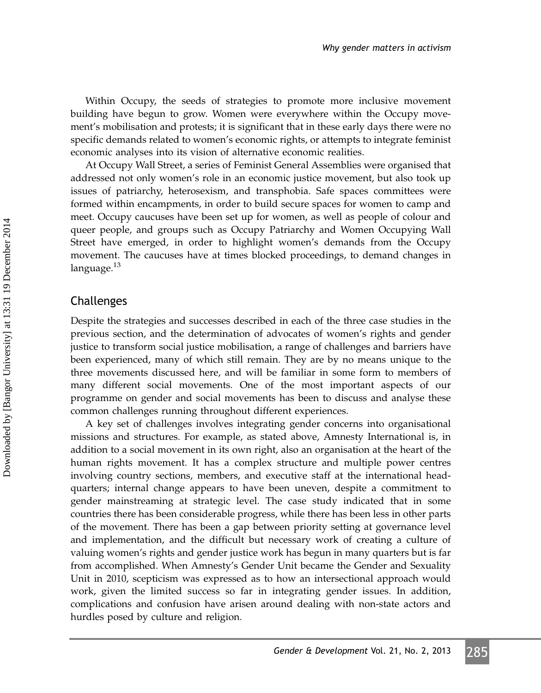Within Occupy, the seeds of strategies to promote more inclusive movement building have begun to grow. Women were everywhere within the Occupy movement's mobilisation and protests; it is significant that in these early days there were no specific demands related to women's economic rights, or attempts to integrate feminist economic analyses into its vision of alternative economic realities.

At Occupy Wall Street, a series of Feminist General Assemblies were organised that addressed not only women's role in an economic justice movement, but also took up issues of patriarchy, heterosexism, and transphobia. Safe spaces committees were formed within encampments, in order to build secure spaces for women to camp and meet. Occupy caucuses have been set up for women, as well as people of colour and queer people, and groups such as Occupy Patriarchy and Women Occupying Wall Street have emerged, in order to highlight women's demands from the Occupy movement. The caucuses have at times blocked proceedings, to demand changes in language. $13$ 

#### Challenges

Despite the strategies and successes described in each of the three case studies in the previous section, and the determination of advocates of women's rights and gender justice to transform social justice mobilisation, a range of challenges and barriers have been experienced, many of which still remain. They are by no means unique to the three movements discussed here, and will be familiar in some form to members of many different social movements. One of the most important aspects of our programme on gender and social movements has been to discuss and analyse these common challenges running throughout different experiences.

A key set of challenges involves integrating gender concerns into organisational missions and structures. For example, as stated above, Amnesty International is, in addition to a social movement in its own right, also an organisation at the heart of the human rights movement. It has a complex structure and multiple power centres involving country sections, members, and executive staff at the international headquarters; internal change appears to have been uneven, despite a commitment to gender mainstreaming at strategic level. The case study indicated that in some countries there has been considerable progress, while there has been less in other parts of the movement. There has been a gap between priority setting at governance level and implementation, and the difficult but necessary work of creating a culture of valuing women's rights and gender justice work has begun in many quarters but is far from accomplished. When Amnesty's Gender Unit became the Gender and Sexuality Unit in 2010, scepticism was expressed as to how an intersectional approach would work, given the limited success so far in integrating gender issues. In addition, complications and confusion have arisen around dealing with non-state actors and hurdles posed by culture and religion.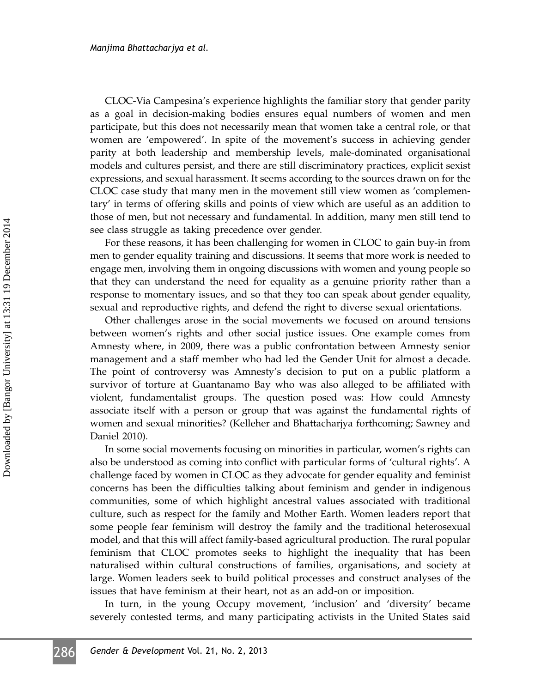CLOC-Via Campesina's experience highlights the familiar story that gender parity as a goal in decision-making bodies ensures equal numbers of women and men participate, but this does not necessarily mean that women take a central role, or that women are 'empowered'. In spite of the movement's success in achieving gender parity at both leadership and membership levels, male-dominated organisational models and cultures persist, and there are still discriminatory practices, explicit sexist expressions, and sexual harassment. It seems according to the sources drawn on for the CLOC case study that many men in the movement still view women as 'complementary' in terms of offering skills and points of view which are useful as an addition to those of men, but not necessary and fundamental. In addition, many men still tend to see class struggle as taking precedence over gender.

For these reasons, it has been challenging for women in CLOC to gain buy-in from men to gender equality training and discussions. It seems that more work is needed to engage men, involving them in ongoing discussions with women and young people so that they can understand the need for equality as a genuine priority rather than a response to momentary issues, and so that they too can speak about gender equality, sexual and reproductive rights, and defend the right to diverse sexual orientations.

Other challenges arose in the social movements we focused on around tensions between women's rights and other social justice issues. One example comes from Amnesty where, in 2009, there was a public confrontation between Amnesty senior management and a staff member who had led the Gender Unit for almost a decade. The point of controversy was Amnesty's decision to put on a public platform a survivor of torture at Guantanamo Bay who was also alleged to be affiliated with violent, fundamentalist groups. The question posed was: How could Amnesty associate itself with a person or group that was against the fundamental rights of women and sexual minorities? (Kelleher and Bhattacharjya forthcoming; Sawney and Daniel 2010).

In some social movements focusing on minorities in particular, women's rights can also be understood as coming into conflict with particular forms of 'cultural rights'. A challenge faced by women in CLOC as they advocate for gender equality and feminist concerns has been the difficulties talking about feminism and gender in indigenous communities, some of which highlight ancestral values associated with traditional culture, such as respect for the family and Mother Earth. Women leaders report that some people fear feminism will destroy the family and the traditional heterosexual model, and that this will affect family-based agricultural production. The rural popular feminism that CLOC promotes seeks to highlight the inequality that has been naturalised within cultural constructions of families, organisations, and society at large. Women leaders seek to build political processes and construct analyses of the issues that have feminism at their heart, not as an add-on or imposition.

In turn, in the young Occupy movement, 'inclusion' and 'diversity' became severely contested terms, and many participating activists in the United States said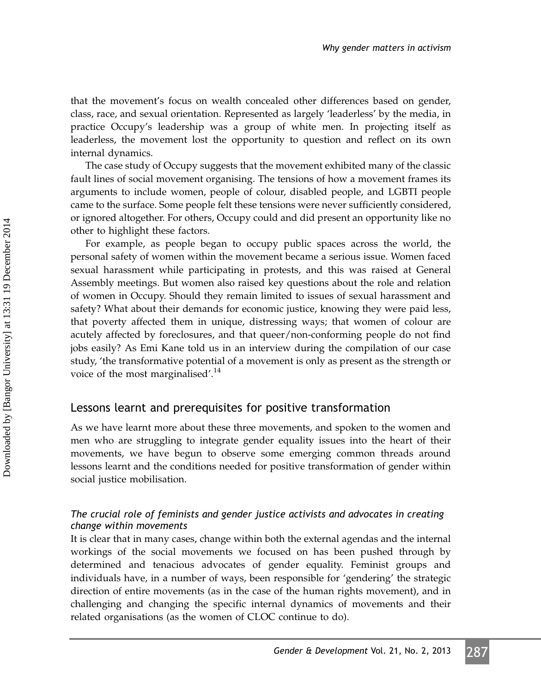that the movement's focus on wealth concealed other differences based on gender, class, race, and sexual orientation. Represented as largely 'leaderless' by the media, in practice Occupy's leadership was a group of white men. In projecting itself as leaderless, the movement lost the opportunity to question and reflect on its own internal dynamics.

The case study of Occupy suggests that the movement exhibited many of the classic fault lines of social movement organising. The tensions of how a movement frames its arguments to include women, people of colour, disabled people, and LGBTI people came to the surface. Some people felt these tensions were never sufficiently considered, or ignored altogether. For others, Occupy could and did present an opportunity like no other to highlight these factors.

For example, as people began to occupy public spaces across the world, the personal safety of women within the movement became a serious issue. Women faced sexual harassment while participating in protests, and this was raised at General Assembly meetings. But women also raised key questions about the role and relation of women in Occupy. Should they remain limited to issues of sexual harassment and safety? What about their demands for economic justice, knowing they were paid less, that poverty affected them in unique, distressing ways; that women of colour are acutely affected by foreclosures, and that queer/non-conforming people do not find jobs easily? As Emi Kane told us in an interview during the compilation of our case study, 'the transformative potential of a movement is only as present as the strength or voice of the most marginalised'.<sup>14</sup>

#### Lessons learnt and prerequisites for positive transformation

As we have learnt more about these three movements, and spoken to the women and men who are struggling to integrate gender equality issues into the heart of their movements, we have begun to observe some emerging common threads around lessons learnt and the conditions needed for positive transformation of gender within social justice mobilisation.

#### The crucial role of feminists and gender justice activists and advocates in creating change within movements

It is clear that in many cases, change within both the external agendas and the internal workings of the social movements we focused on has been pushed through by determined and tenacious advocates of gender equality. Feminist groups and individuals have, in a number of ways, been responsible for 'gendering' the strategic direction of entire movements (as in the case of the human rights movement), and in challenging and changing the specific internal dynamics of movements and their related organisations (as the women of CLOC continue to do).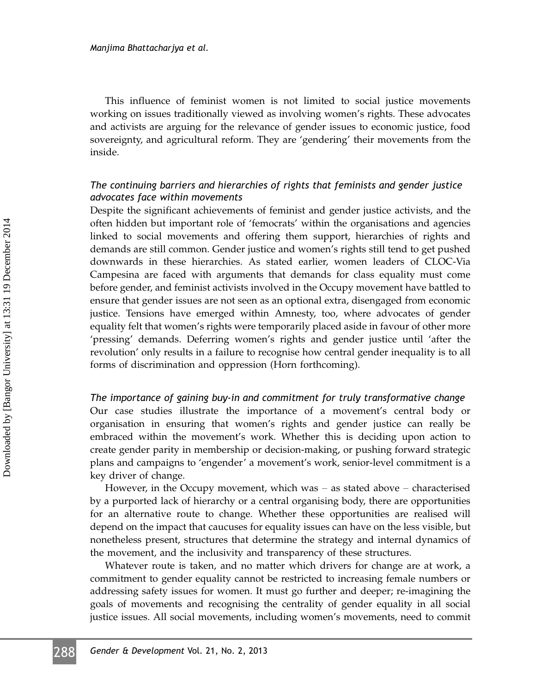This influence of feminist women is not limited to social justice movements working on issues traditionally viewed as involving women's rights. These advocates and activists are arguing for the relevance of gender issues to economic justice, food sovereignty, and agricultural reform. They are 'gendering' their movements from the inside.

#### The continuing barriers and hierarchies of rights that feminists and gender justice advocates face within movements

Despite the significant achievements of feminist and gender justice activists, and the often hidden but important role of 'femocrats' within the organisations and agencies linked to social movements and offering them support, hierarchies of rights and demands are still common. Gender justice and women's rights still tend to get pushed downwards in these hierarchies. As stated earlier, women leaders of CLOC-Via Campesina are faced with arguments that demands for class equality must come before gender, and feminist activists involved in the Occupy movement have battled to ensure that gender issues are not seen as an optional extra, disengaged from economic justice. Tensions have emerged within Amnesty, too, where advocates of gender equality felt that women's rights were temporarily placed aside in favour of other more 'pressing' demands. Deferring women's rights and gender justice until 'after the revolution' only results in a failure to recognise how central gender inequality is to all forms of discrimination and oppression (Horn forthcoming).

The importance of gaining buy-in and commitment for truly transformative change Our case studies illustrate the importance of a movement's central body or organisation in ensuring that women's rights and gender justice can really be embraced within the movement's work. Whether this is deciding upon action to create gender parity in membership or decision-making, or pushing forward strategic plans and campaigns to 'engender' a movement's work, senior-level commitment is a key driver of change.

However, in the Occupy movement, which was  $-$  as stated above  $-$  characterised by a purported lack of hierarchy or a central organising body, there are opportunities for an alternative route to change. Whether these opportunities are realised will depend on the impact that caucuses for equality issues can have on the less visible, but nonetheless present, structures that determine the strategy and internal dynamics of the movement, and the inclusivity and transparency of these structures.

Whatever route is taken, and no matter which drivers for change are at work, a commitment to gender equality cannot be restricted to increasing female numbers or addressing safety issues for women. It must go further and deeper; re-imagining the goals of movements and recognising the centrality of gender equality in all social justice issues. All social movements, including women's movements, need to commit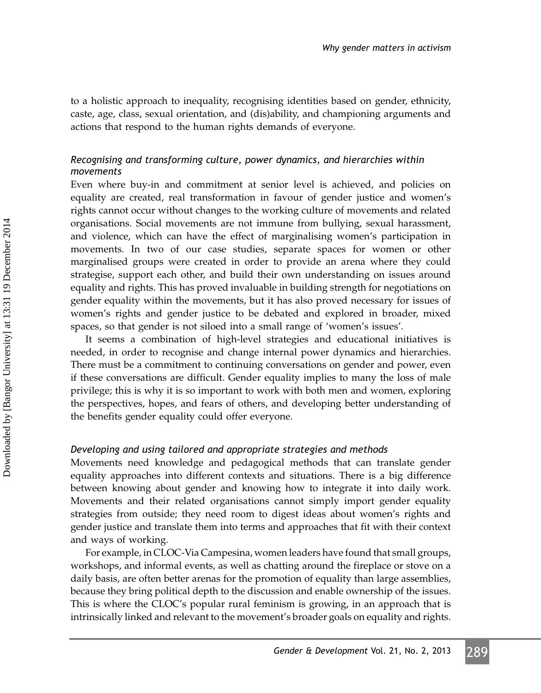to a holistic approach to inequality, recognising identities based on gender, ethnicity, caste, age, class, sexual orientation, and (dis)ability, and championing arguments and actions that respond to the human rights demands of everyone.

#### Recognising and transforming culture, power dynamics, and hierarchies within movements

Even where buy-in and commitment at senior level is achieved, and policies on equality are created, real transformation in favour of gender justice and women's rights cannot occur without changes to the working culture of movements and related organisations. Social movements are not immune from bullying, sexual harassment, and violence, which can have the effect of marginalising women's participation in movements. In two of our case studies, separate spaces for women or other marginalised groups were created in order to provide an arena where they could strategise, support each other, and build their own understanding on issues around equality and rights. This has proved invaluable in building strength for negotiations on gender equality within the movements, but it has also proved necessary for issues of women's rights and gender justice to be debated and explored in broader, mixed spaces, so that gender is not siloed into a small range of 'women's issues'.

It seems a combination of high-level strategies and educational initiatives is needed, in order to recognise and change internal power dynamics and hierarchies. There must be a commitment to continuing conversations on gender and power, even if these conversations are difficult. Gender equality implies to many the loss of male privilege; this is why it is so important to work with both men and women, exploring the perspectives, hopes, and fears of others, and developing better understanding of the benefits gender equality could offer everyone.

#### Developing and using tailored and appropriate strategies and methods

Movements need knowledge and pedagogical methods that can translate gender equality approaches into different contexts and situations. There is a big difference between knowing about gender and knowing how to integrate it into daily work. Movements and their related organisations cannot simply import gender equality strategies from outside; they need room to digest ideas about women's rights and gender justice and translate them into terms and approaches that fit with their context and ways of working.

For example, in CLOC-Via Campesina, women leaders have found that small groups, workshops, and informal events, as well as chatting around the fireplace or stove on a daily basis, are often better arenas for the promotion of equality than large assemblies, because they bring political depth to the discussion and enable ownership of the issues. This is where the CLOC's popular rural feminism is growing, in an approach that is intrinsically linked and relevant to the movement's broader goals on equality and rights.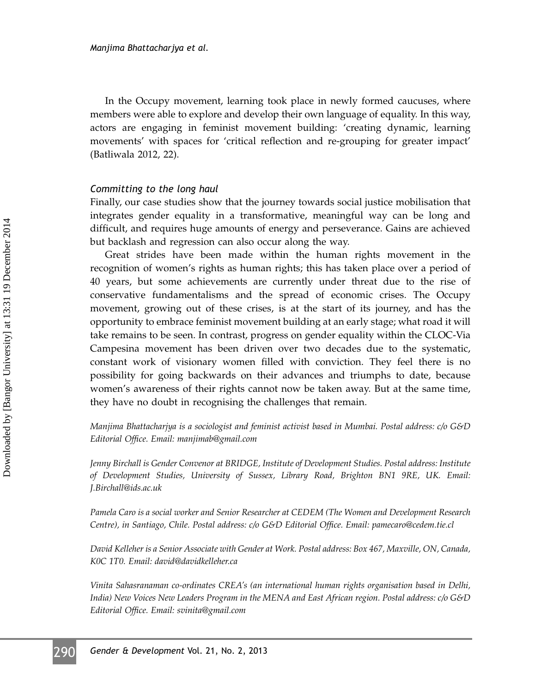In the Occupy movement, learning took place in newly formed caucuses, where members were able to explore and develop their own language of equality. In this way, actors are engaging in feminist movement building: 'creating dynamic, learning movements' with spaces for 'critical reflection and re-grouping for greater impact' (Batliwala 2012, 22).

#### Committing to the long haul

Finally, our case studies show that the journey towards social justice mobilisation that integrates gender equality in a transformative, meaningful way can be long and difficult, and requires huge amounts of energy and perseverance. Gains are achieved but backlash and regression can also occur along the way.

Great strides have been made within the human rights movement in the recognition of women's rights as human rights; this has taken place over a period of 40 years, but some achievements are currently under threat due to the rise of conservative fundamentalisms and the spread of economic crises. The Occupy movement, growing out of these crises, is at the start of its journey, and has the opportunity to embrace feminist movement building at an early stage; what road it will take remains to be seen. In contrast, progress on gender equality within the CLOC-Via Campesina movement has been driven over two decades due to the systematic, constant work of visionary women filled with conviction. They feel there is no possibility for going backwards on their advances and triumphs to date, because women's awareness of their rights cannot now be taken away. But at the same time, they have no doubt in recognising the challenges that remain.

Manjima Bhattacharjya is a sociologist and feminist activist based in Mumbai. Postal address: c/o G&D Editorial Office. Email: manjimab@gmail.com

Jenny Birchall is Gender Convenor at BRIDGE, Institute of Development Studies. Postal address: Institute of Development Studies, University of Sussex, Library Road, Brighton BN1 9RE, UK. Email: J.Birchall@ids.ac.uk

Pamela Caro is a social worker and Senior Researcher at CEDEM (The Women and Development Research Centre), in Santiago, Chile. Postal address: c/o G&D Editorial Office. Email: pamecaro@cedem.tie.cl

David Kelleher is a Senior Associate with Gender at Work. Postal address: Box 467, Maxville, ON, Canada, K0C 1T0. Email: david@davidkelleher.ca

Vinita Sahasranaman co-ordinates CREA's (an international human rights organisation based in Delhi, India) New Voices New Leaders Program in the MENA and East African region. Postal address: c/o G&D Editorial Office. Email: svinita@gmail.com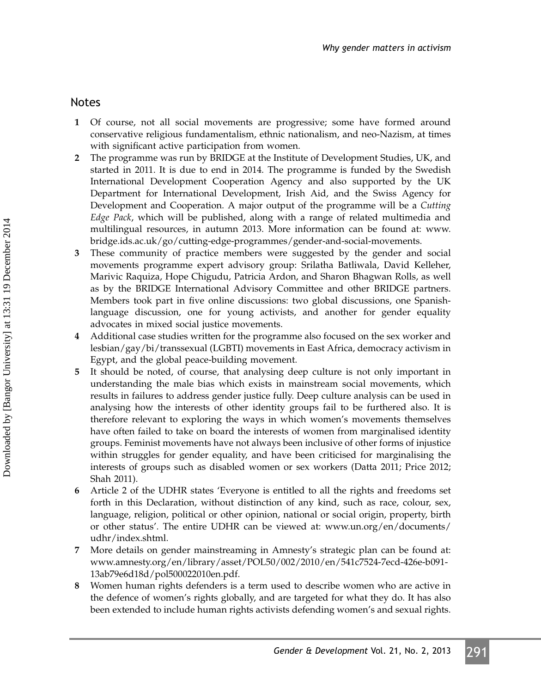## Notes

- 1 Of course, not all social movements are progressive; some have formed around conservative religious fundamentalism, ethnic nationalism, and neo-Nazism, at times with significant active participation from women.
- 2 The programme was run by BRIDGE at the Institute of Development Studies, UK, and started in 2011. It is due to end in 2014. The programme is funded by the Swedish International Development Cooperation Agency and also supported by the UK Department for International Development, Irish Aid, and the Swiss Agency for Development and Cooperation. A major output of the programme will be a Cutting Edge Pack, which will be published, along with a range of related multimedia and multilingual resources, in autumn 2013. More information can be found at: [www.](http://www.bridge.ids.ac.uk/go/cutting-edge-programmes/gender-and-social-movements) [bridge.ids.ac.uk/go/cutting-edge-programmes/gender-and-social-movements](http://www.bridge.ids.ac.uk/go/cutting-edge-programmes/gender-and-social-movements).
- 3 These community of practice members were suggested by the gender and social movements programme expert advisory group: Srilatha Batliwala, David Kelleher, Marivic Raquiza, Hope Chigudu, Patricia Ardon, and Sharon Bhagwan Rolls, as well as by the BRIDGE International Advisory Committee and other BRIDGE partners. Members took part in five online discussions: two global discussions, one Spanishlanguage discussion, one for young activists, and another for gender equality advocates in mixed social justice movements.
- 4 Additional case studies written for the programme also focused on the sex worker and lesbian/gay/bi/transsexual (LGBTI) movements in East Africa, democracy activism in Egypt, and the global peace-building movement.
- 5 It should be noted, of course, that analysing deep culture is not only important in understanding the male bias which exists in mainstream social movements, which results in failures to address gender justice fully. Deep culture analysis can be used in analysing how the interests of other identity groups fail to be furthered also. It is therefore relevant to exploring the ways in which women's movements themselves have often failed to take on board the interests of women from marginalised identity groups. Feminist movements have not always been inclusive of other forms of injustice within struggles for gender equality, and have been criticised for marginalising the interests of groups such as disabled women or sex workers (Datta 2011; Price 2012; Shah 2011).
- 6 Article 2 of the UDHR states 'Everyone is entitled to all the rights and freedoms set forth in this Declaration, without distinction of any kind, such as race, colour, sex, language, religion, political or other opinion, national or social origin, property, birth or other status'. The entire UDHR can be viewed at: [www.un.org/en/documents/](http://www.un.org/en/documents/udhr/index.shtml) [udhr/index.shtml](http://www.un.org/en/documents/udhr/index.shtml).
- 7 More details on gender mainstreaming in Amnesty's strategic plan can be found at: [www.amnesty.org/en/library/asset/POL50/002/2010/en/541c7524-7ecd-426e-b091-](http://www.amnesty.org/en/library/asset/POL50/002/2010/en/541c7524-7ecd-426e-b091-13ab79e6d18d/pol500022010en.pdf) [13ab79e6d18d/pol500022010en.pdf](http://www.amnesty.org/en/library/asset/POL50/002/2010/en/541c7524-7ecd-426e-b091-13ab79e6d18d/pol500022010en.pdf).
- 8 Women human rights defenders is a term used to describe women who are active in the defence of women's rights globally, and are targeted for what they do. It has also been extended to include human rights activists defending women's and sexual rights.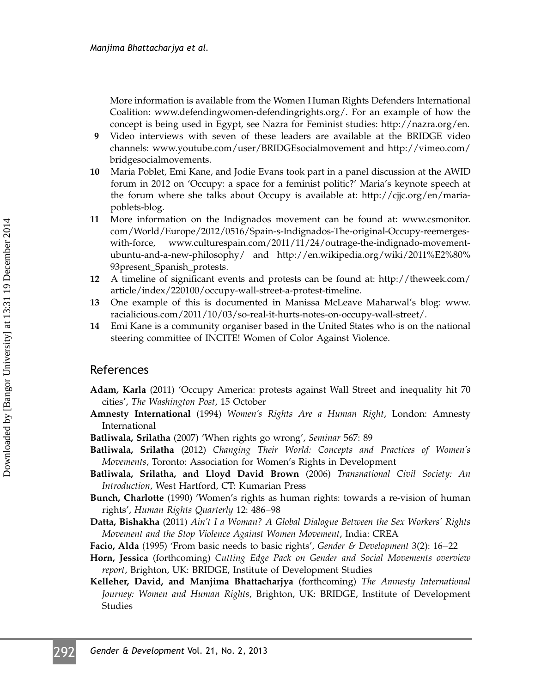More information is available from the Women Human Rights Defenders International Coalition: [www.defendingwomen-defendingrights.org/.](http://www.defendingwomen-defendingrights.org/) For an example of how the concept is being used in Egypt, see Nazra for Feminist studies:<http://nazra.org/en>.

- 9 Video interviews with seven of these leaders are available at the BRIDGE video channels: [www.youtube.com/user/BRIDGEsocialmovement](http://www.youtube.com/user/BRIDGEsocialmovement) and [http://vimeo.com/](http://vimeo.com/bridgesocialmovements) [bridgesocialmovements.](http://vimeo.com/bridgesocialmovements)
- 10 Maria Poblet, Emi Kane, and Jodie Evans took part in a panel discussion at the AWID forum in 2012 on 'Occupy: a space for a feminist politic?' Maria's keynote speech at the forum where she talks about Occupy is available at: [http://cjjc.org/en/maria](http://cjjc.org/en/maria-poblets-blog)[poblets-blog](http://cjjc.org/en/maria-poblets-blog).
- 11 More information on the Indignados movement can be found at: [www.csmonitor.](http://www.csmonitor.com/World/Europe/2012/0516/Spain-s-Indignados-The-original-Occupy-reemerges-with-force) [com/World/Europe/2012/0516/Spain-s-Indignados-The-original-Occupy-reemerges](http://www.csmonitor.com/World/Europe/2012/0516/Spain-s-Indignados-The-original-Occupy-reemerges-with-force)[with-force](http://www.csmonitor.com/World/Europe/2012/0516/Spain-s-Indignados-The-original-Occupy-reemerges-with-force), [www.culturespain.com/2011/11/24/outrage-the-indignado-movement](http://www.culturespain.com/2011/11/24/outrage-the-indignado-movement-ubuntu-and-a-new-philosophy/)[ubuntu-and-a-new-philosophy/](http://www.culturespain.com/2011/11/24/outrage-the-indignado-movement-ubuntu-and-a-new-philosophy/) and [http://en.wikipedia.org/wiki/2011%E2%80%](http://en.wikipedia.org/wiki/2011%25E2%2580%2593present_Spanish_protests) [93present\\_Spanish\\_protests](http://en.wikipedia.org/wiki/2011%25E2%2580%2593present_Spanish_protests).
- 12 A timeline of significant events and protests can be found at: [http://theweek.com/](http://theweek.com/article/index/220100/occupy-wall-street-a-protest-timeline) [article/index/220100/occupy-wall-street-a-protest-timeline.](http://theweek.com/article/index/220100/occupy-wall-street-a-protest-timeline)
- 13 One example of this is documented in Manissa McLeave Maharwal's blog: [www.](http://www.racialicious.com/2011/10/03/so-real-it-hurts-notes-on-occupy-wall-street/) [racialicious.com/2011/10/03/so-real-it-hurts-notes-on-occupy-wall-street/](http://www.racialicious.com/2011/10/03/so-real-it-hurts-notes-on-occupy-wall-street/).
- 14 Emi Kane is a community organiser based in the United States who is on the national steering committee of INCITE! Women of Color Against Violence.

#### References

- Adam, Karla (2011) 'Occupy America: protests against Wall Street and inequality hit 70 cities', The Washington Post, 15 October
- Amnesty International (1994) Women's Rights Are a Human Right, London: Amnesty International
- Batliwala, Srilatha (2007) 'When rights go wrong', Seminar 567: 89
- Batliwala, Srilatha (2012) Changing Their World: Concepts and Practices of Women's Movements, Toronto: Association for Women's Rights in Development
- Batliwala, Srilatha, and Lloyd David Brown (2006) Transnational Civil Society: An Introduction, West Hartford, CT: Kumarian Press
- Bunch, Charlotte (1990) 'Women's rights as human rights: towards a re-vision of human rights', Human Rights Quarterly 12: 486–98
- Datta, Bishakha (2011) Ain't I a Woman? A Global Dialogue Between the Sex Workers' Rights Movement and the Stop Violence Against Women Movement, India: CREA
- **Facio, Alda** (1995) 'From basic needs to basic rights', Gender & Development 3(2):  $16-22$
- Horn, Jessica (forthcoming) Cutting Edge Pack on Gender and Social Movements overview report, Brighton, UK: BRIDGE, Institute of Development Studies
- Kelleher, David, and Manjima Bhattacharjya (forthcoming) The Amnesty International Journey: Women and Human Rights, Brighton, UK: BRIDGE, Institute of Development Studies